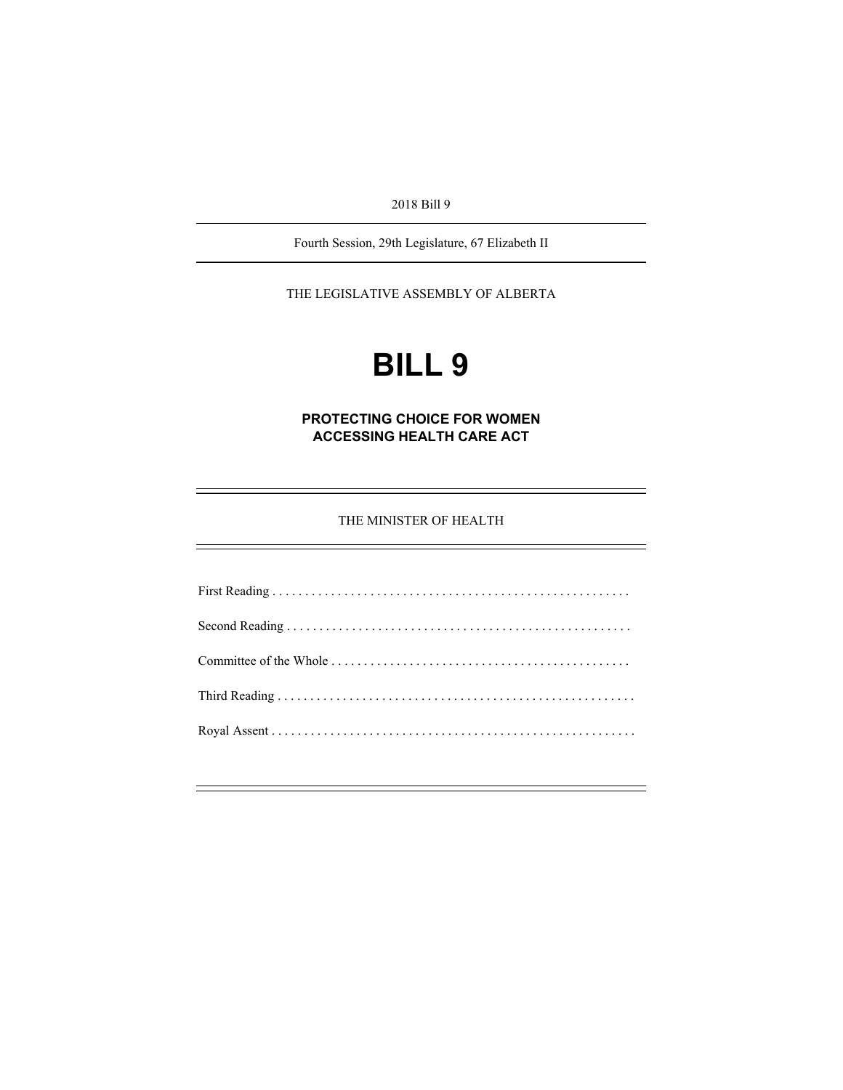2018 Bill 9

Fourth Session, 29th Legislature, 67 Elizabeth II

THE LEGISLATIVE ASSEMBLY OF ALBERTA

# **BILL 9**

**PROTECTING CHOICE FOR WOMEN ACCESSING HEALTH CARE ACT** 

THE MINISTER OF HEALTH

First Reading . . . . . . . . . . . . . . . . . . . . . . . . . . . . . . . . . . . . . . . . . . . . . . . . . . . . . . . Second Reading . . . . . . . . . . . . . . . . . . . . . . . . . . . . . . . . . . . . . . . . . . . . . . . . . . . . . Committee of the Whole . . . . . . . . . . . . . . . . . . . . . . . . . . . . . . . . . . . . . . . . . . . . . . Third Reading . . . . . . . . . . . . . . . . . . . . . . . . . . . . . . . . . . . . . . . . . . . . . . . . . . . . . . . Royal Assent . . . . . . . . . . . . . . . . . . . . . . . . . . . . . . . . . . . . . . . . . . . . . . . . . . . . . . . .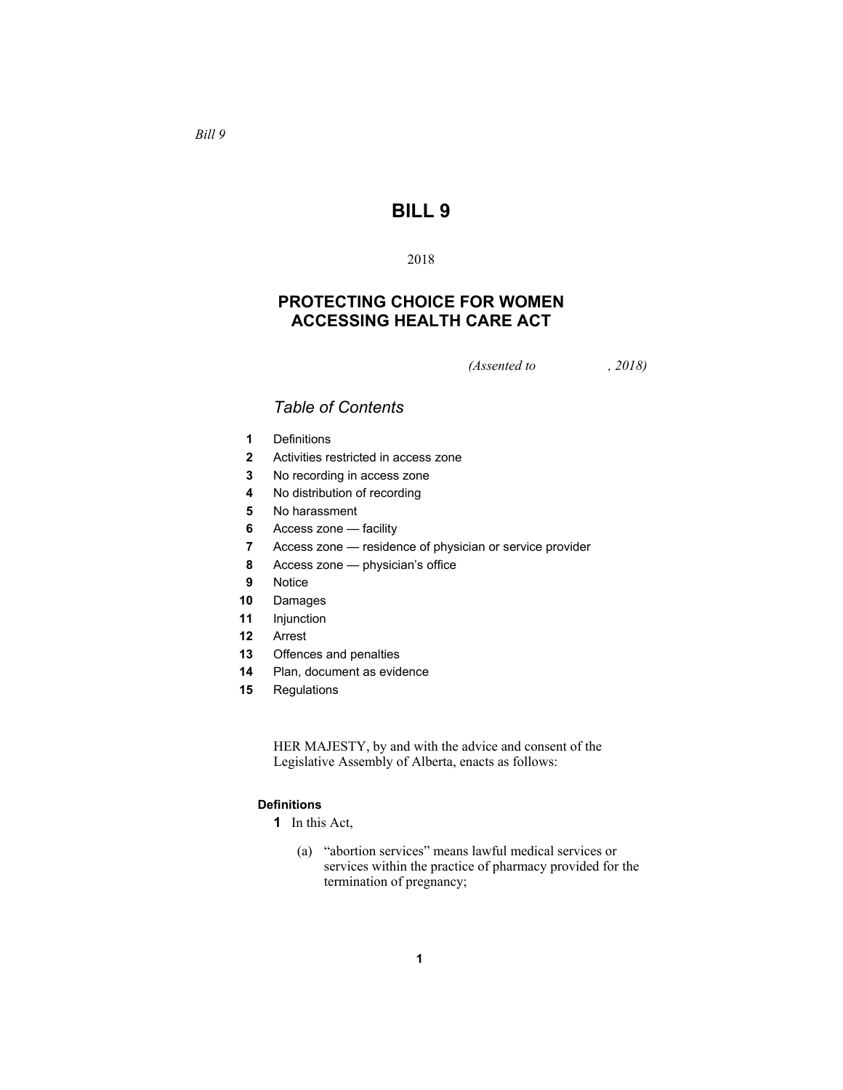# **BILL 9**

## 2018

# **PROTECTING CHOICE FOR WOMEN ACCESSING HEALTH CARE ACT**

*(Assented to , 2018)* 

# *Table of Contents*

- **1** Definitions
- **2** Activities restricted in access zone
- **3** No recording in access zone
- **4** No distribution of recording
- **5** No harassment
- **6** Access zone facility
- **7** Access zone residence of physician or service provider
- **8** Access zone physician's office
- **9** Notice
- **10** Damages
- **11** Injunction
- **12** Arrest
- **13** Offences and penalties
- **14** Plan, document as evidence
- **15** Regulations

HER MAJESTY, by and with the advice and consent of the Legislative Assembly of Alberta, enacts as follows:

## **Definitions**

- **1** In this Act,
	- (a) "abortion services" means lawful medical services or services within the practice of pharmacy provided for the termination of pregnancy;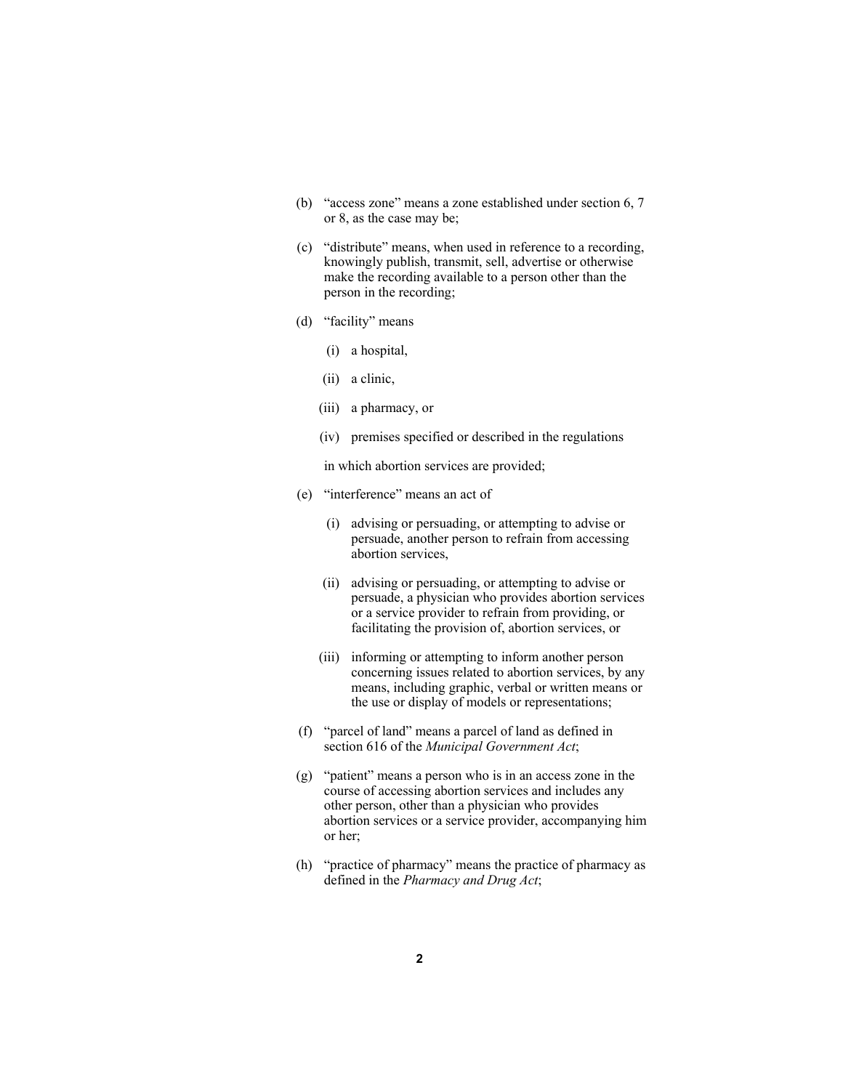- (b) "access zone" means a zone established under section 6, 7 or 8, as the case may be;
- (c) "distribute" means, when used in reference to a recording, knowingly publish, transmit, sell, advertise or otherwise make the recording available to a person other than the person in the recording;
- (d) "facility" means
	- (i) a hospital,
	- (ii) a clinic,
	- (iii) a pharmacy, or
	- (iv) premises specified or described in the regulations

in which abortion services are provided;

- (e) "interference" means an act of
	- (i) advising or persuading, or attempting to advise or persuade, another person to refrain from accessing abortion services,
	- (ii) advising or persuading, or attempting to advise or persuade, a physician who provides abortion services or a service provider to refrain from providing, or facilitating the provision of, abortion services, or
	- (iii) informing or attempting to inform another person concerning issues related to abortion services, by any means, including graphic, verbal or written means or the use or display of models or representations;
- (f) "parcel of land" means a parcel of land as defined in section 616 of the *Municipal Government Act*;
- (g) "patient" means a person who is in an access zone in the course of accessing abortion services and includes any other person, other than a physician who provides abortion services or a service provider, accompanying him or her;
- (h) "practice of pharmacy" means the practice of pharmacy as defined in the *Pharmacy and Drug Act*;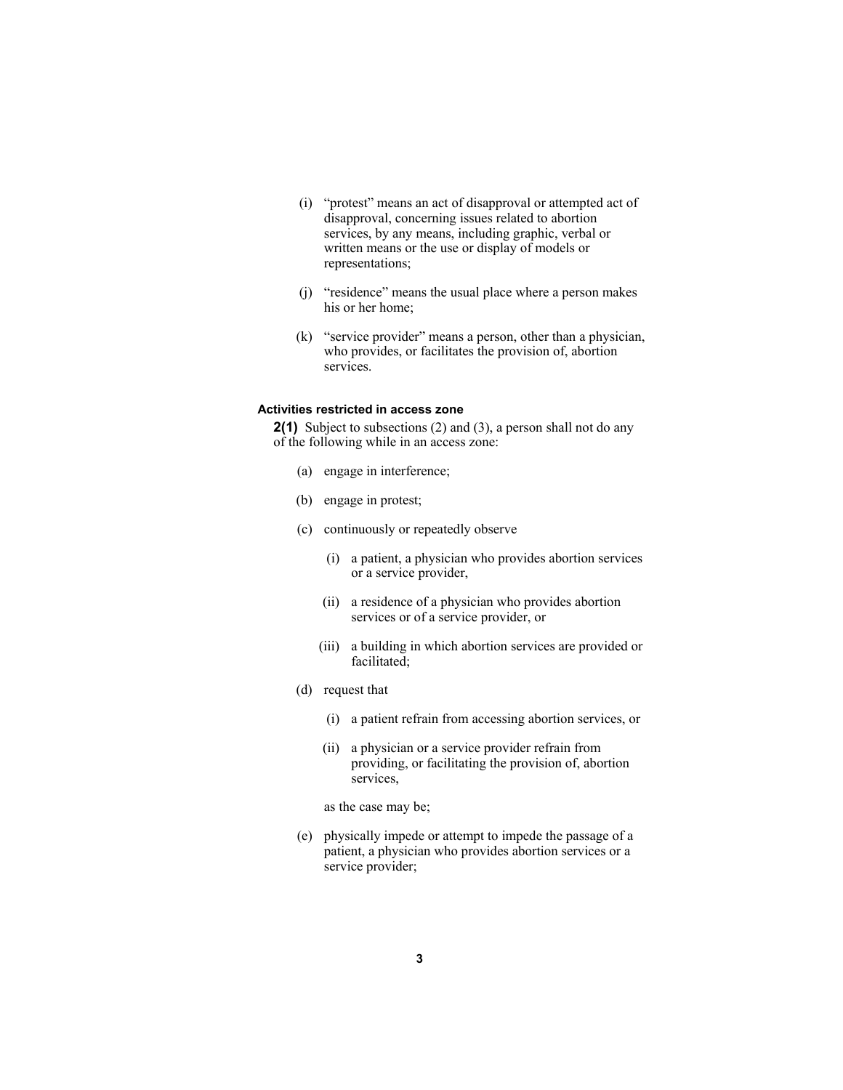- (i) "protest" means an act of disapproval or attempted act of disapproval, concerning issues related to abortion services, by any means, including graphic, verbal or written means or the use or display of models or representations;
- (j) "residence" means the usual place where a person makes his or her home;
- (k) "service provider" means a person, other than a physician, who provides, or facilitates the provision of, abortion services.

#### **Activities restricted in access zone**

**2(1)** Subject to subsections (2) and (3), a person shall not do any of the following while in an access zone:

- (a) engage in interference;
- (b) engage in protest;
- (c) continuously or repeatedly observe
	- (i) a patient, a physician who provides abortion services or a service provider,
	- (ii) a residence of a physician who provides abortion services or of a service provider, or
	- (iii) a building in which abortion services are provided or facilitated;
- (d) request that
	- (i) a patient refrain from accessing abortion services, or
	- (ii) a physician or a service provider refrain from providing, or facilitating the provision of, abortion services,

as the case may be;

 (e) physically impede or attempt to impede the passage of a patient, a physician who provides abortion services or a service provider;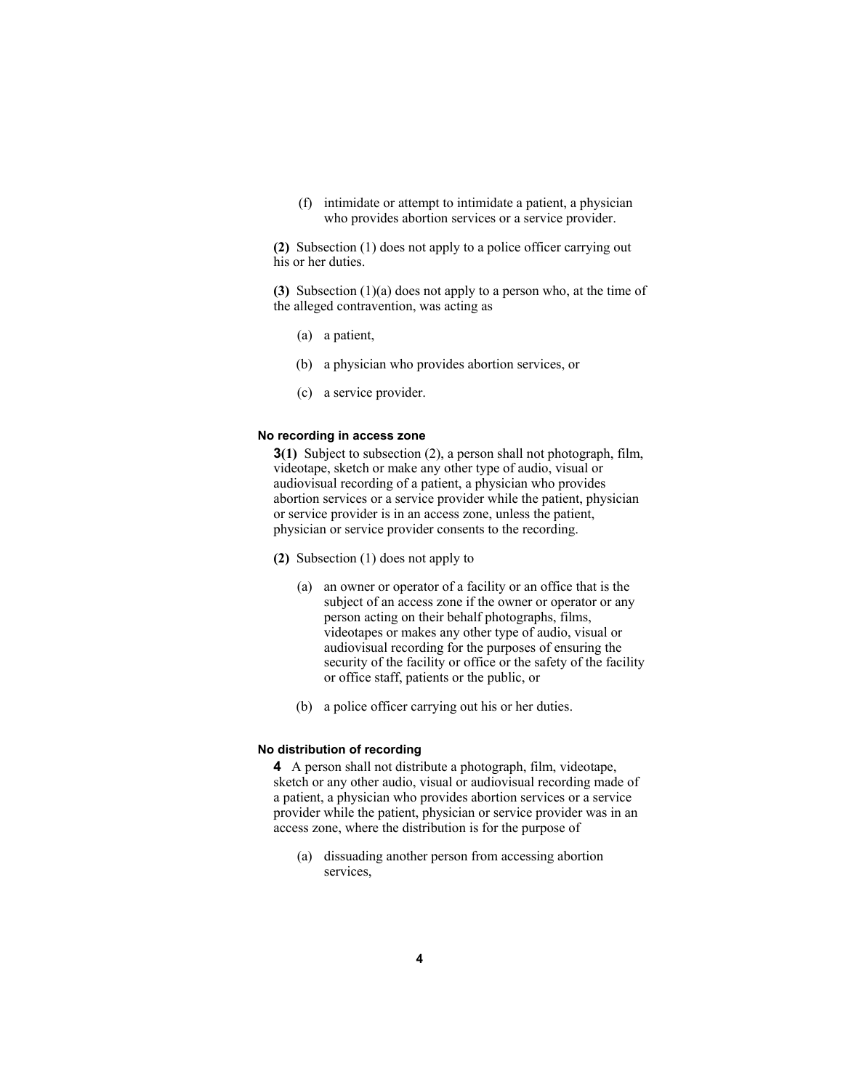(f) intimidate or attempt to intimidate a patient, a physician who provides abortion services or a service provider.

**(2)** Subsection (1) does not apply to a police officer carrying out his or her duties.

**(3)** Subsection (1)(a) does not apply to a person who, at the time of the alleged contravention, was acting as

- (a) a patient,
- (b) a physician who provides abortion services, or
- (c) a service provider.

#### **No recording in access zone**

**3(1)** Subject to subsection (2), a person shall not photograph, film, videotape, sketch or make any other type of audio, visual or audiovisual recording of a patient, a physician who provides abortion services or a service provider while the patient, physician or service provider is in an access zone, unless the patient, physician or service provider consents to the recording.

**(2)** Subsection (1) does not apply to

- (a) an owner or operator of a facility or an office that is the subject of an access zone if the owner or operator or any person acting on their behalf photographs, films, videotapes or makes any other type of audio, visual or audiovisual recording for the purposes of ensuring the security of the facility or office or the safety of the facility or office staff, patients or the public, or
- (b) a police officer carrying out his or her duties.

#### **No distribution of recording**

**4** A person shall not distribute a photograph, film, videotape, sketch or any other audio, visual or audiovisual recording made of a patient, a physician who provides abortion services or a service provider while the patient, physician or service provider was in an access zone, where the distribution is for the purpose of

 (a) dissuading another person from accessing abortion services,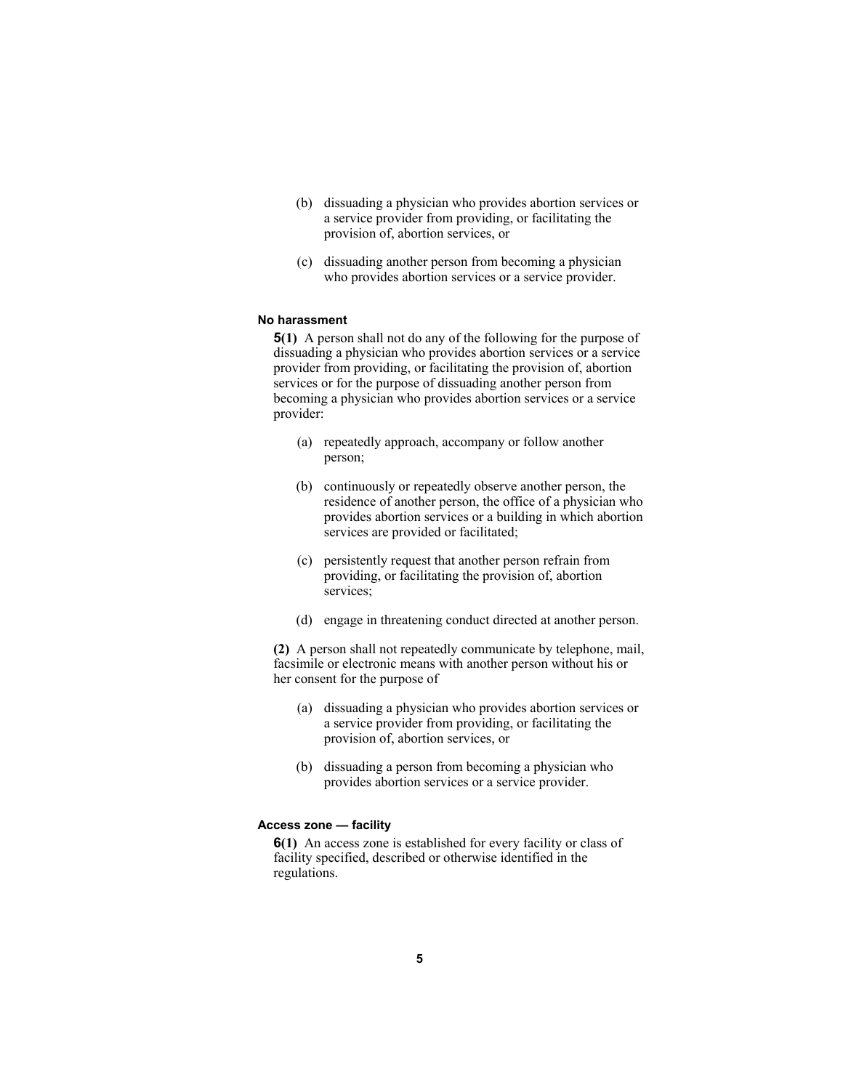- (b) dissuading a physician who provides abortion services or a service provider from providing, or facilitating the provision of, abortion services, or
- (c) dissuading another person from becoming a physician who provides abortion services or a service provider.

#### **No harassment**

**5(1)** A person shall not do any of the following for the purpose of dissuading a physician who provides abortion services or a service provider from providing, or facilitating the provision of, abortion services or for the purpose of dissuading another person from becoming a physician who provides abortion services or a service provider:

- (a) repeatedly approach, accompany or follow another person;
- (b) continuously or repeatedly observe another person, the residence of another person, the office of a physician who provides abortion services or a building in which abortion services are provided or facilitated;
- (c) persistently request that another person refrain from providing, or facilitating the provision of, abortion services;
- (d) engage in threatening conduct directed at another person.

**(2)** A person shall not repeatedly communicate by telephone, mail, facsimile or electronic means with another person without his or her consent for the purpose of

- (a) dissuading a physician who provides abortion services or a service provider from providing, or facilitating the provision of, abortion services, or
- (b) dissuading a person from becoming a physician who provides abortion services or a service provider.

#### **Access zone — facility**

**6(1)** An access zone is established for every facility or class of facility specified, described or otherwise identified in the regulations.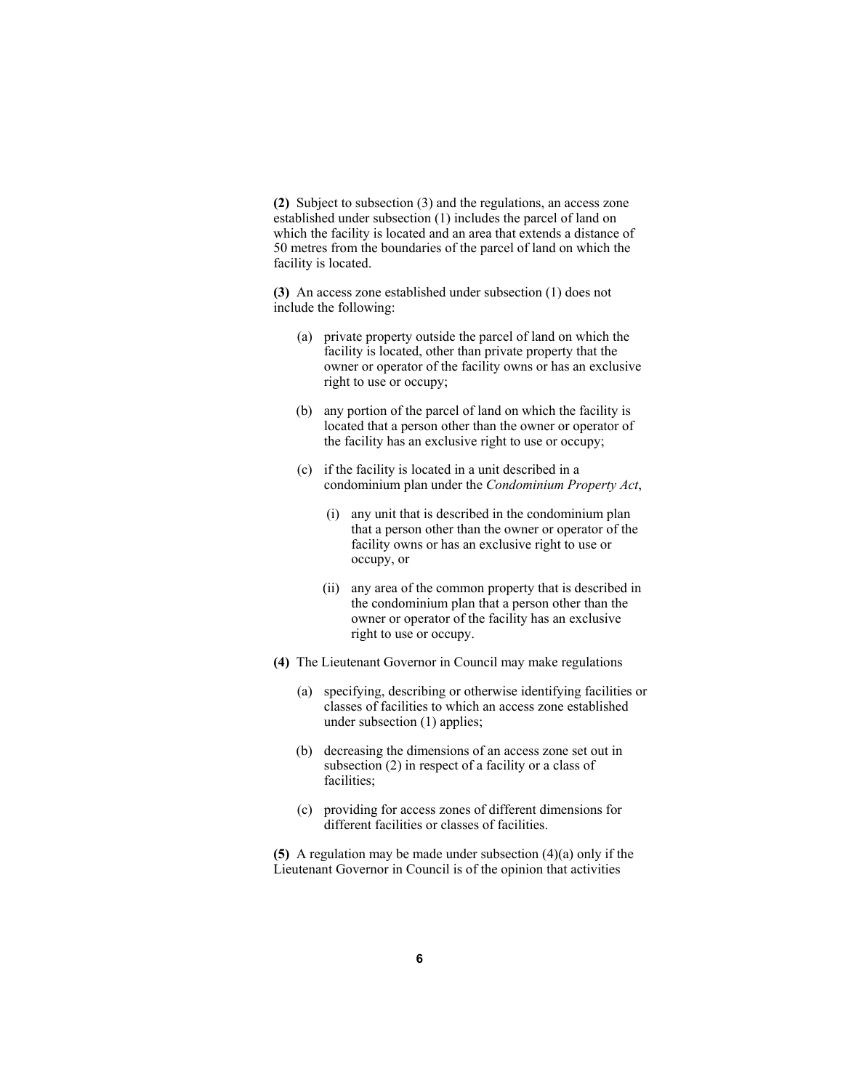**(2)** Subject to subsection (3) and the regulations, an access zone established under subsection (1) includes the parcel of land on which the facility is located and an area that extends a distance of 50 metres from the boundaries of the parcel of land on which the facility is located.

**(3)** An access zone established under subsection (1) does not include the following:

- (a) private property outside the parcel of land on which the facility is located, other than private property that the owner or operator of the facility owns or has an exclusive right to use or occupy;
- (b) any portion of the parcel of land on which the facility is located that a person other than the owner or operator of the facility has an exclusive right to use or occupy;
- (c) if the facility is located in a unit described in a condominium plan under the *Condominium Property Act*,
	- (i) any unit that is described in the condominium plan that a person other than the owner or operator of the facility owns or has an exclusive right to use or occupy, or
	- (ii) any area of the common property that is described in the condominium plan that a person other than the owner or operator of the facility has an exclusive right to use or occupy.
- **(4)** The Lieutenant Governor in Council may make regulations
	- (a) specifying, describing or otherwise identifying facilities or classes of facilities to which an access zone established under subsection (1) applies;
	- (b) decreasing the dimensions of an access zone set out in subsection (2) in respect of a facility or a class of facilities;
	- (c) providing for access zones of different dimensions for different facilities or classes of facilities.

**(5)** A regulation may be made under subsection (4)(a) only if the Lieutenant Governor in Council is of the opinion that activities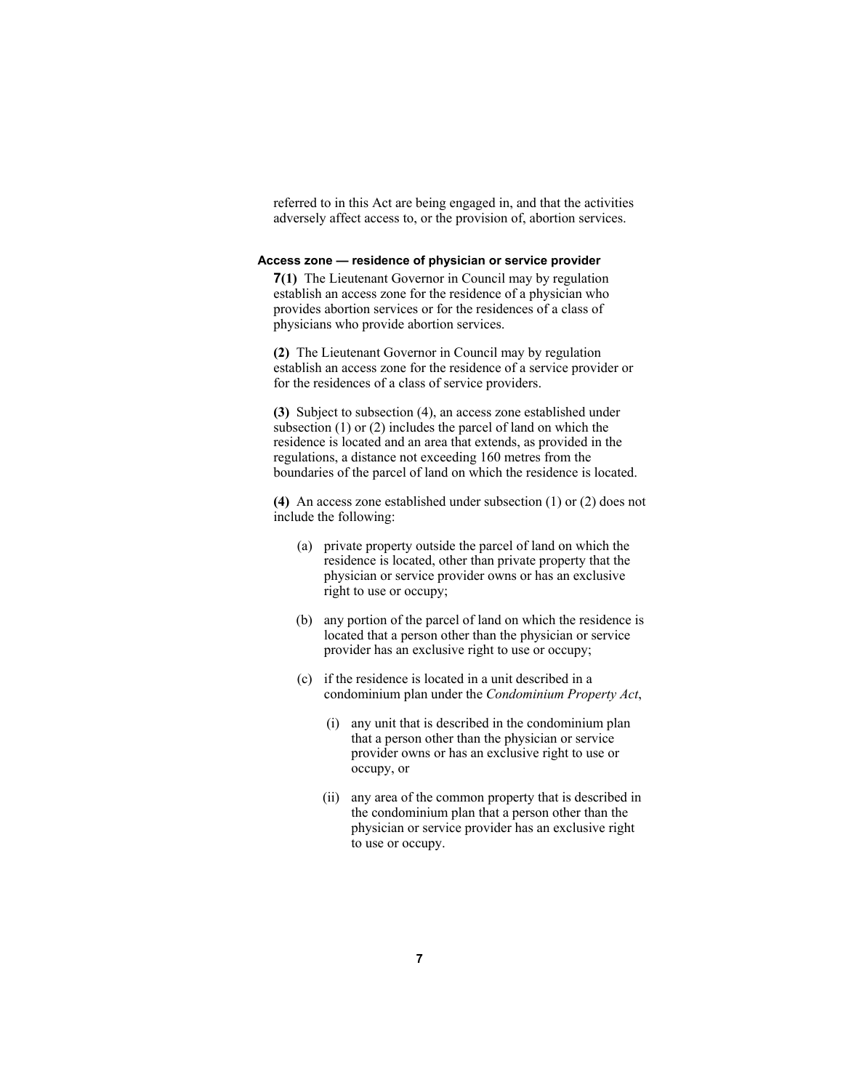referred to in this Act are being engaged in, and that the activities adversely affect access to, or the provision of, abortion services.

#### **Access zone — residence of physician or service provider**

**7(1)** The Lieutenant Governor in Council may by regulation establish an access zone for the residence of a physician who provides abortion services or for the residences of a class of physicians who provide abortion services.

**(2)** The Lieutenant Governor in Council may by regulation establish an access zone for the residence of a service provider or for the residences of a class of service providers.

**(3)** Subject to subsection (4), an access zone established under subsection (1) or (2) includes the parcel of land on which the residence is located and an area that extends, as provided in the regulations, a distance not exceeding 160 metres from the boundaries of the parcel of land on which the residence is located.

**(4)** An access zone established under subsection (1) or (2) does not include the following:

- (a) private property outside the parcel of land on which the residence is located, other than private property that the physician or service provider owns or has an exclusive right to use or occupy;
- (b) any portion of the parcel of land on which the residence is located that a person other than the physician or service provider has an exclusive right to use or occupy;
- (c) if the residence is located in a unit described in a condominium plan under the *Condominium Property Act*,
	- (i) any unit that is described in the condominium plan that a person other than the physician or service provider owns or has an exclusive right to use or occupy, or
	- (ii) any area of the common property that is described in the condominium plan that a person other than the physician or service provider has an exclusive right to use or occupy.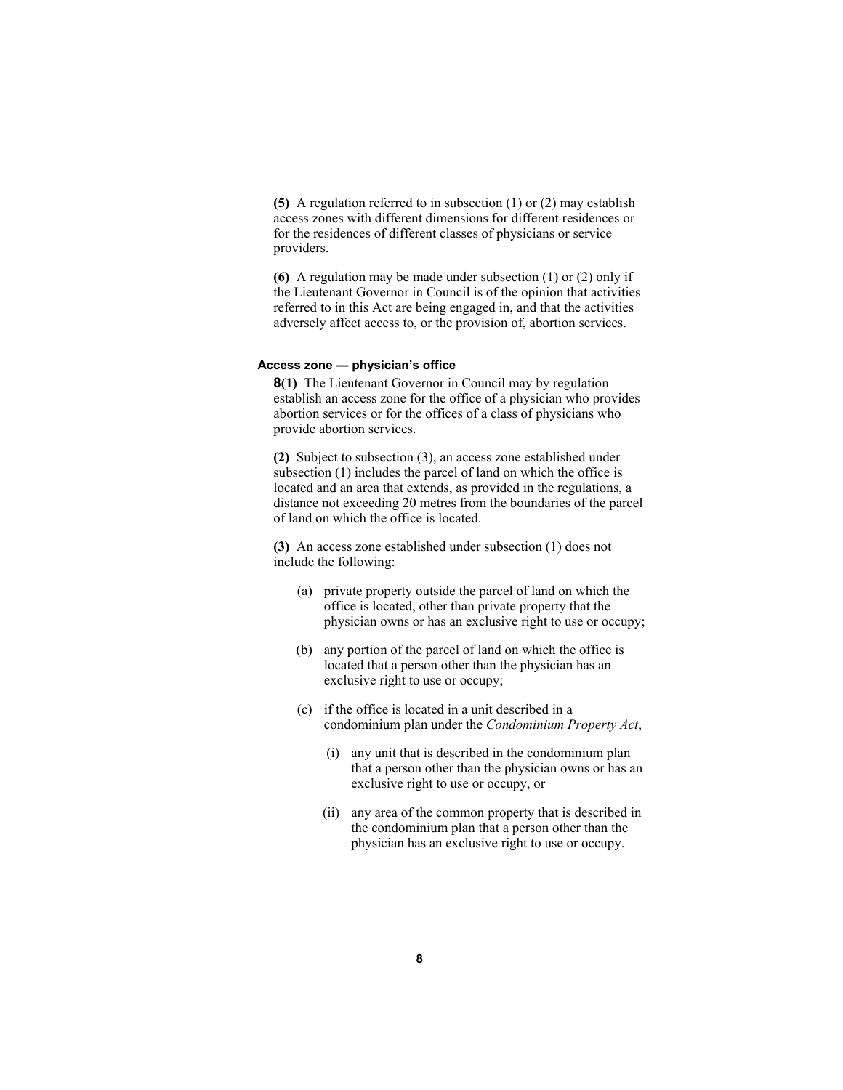**(5)** A regulation referred to in subsection (1) or (2) may establish access zones with different dimensions for different residences or for the residences of different classes of physicians or service providers.

**(6)** A regulation may be made under subsection (1) or (2) only if the Lieutenant Governor in Council is of the opinion that activities referred to in this Act are being engaged in, and that the activities adversely affect access to, or the provision of, abortion services.

#### **Access zone — physician's office**

**8(1)** The Lieutenant Governor in Council may by regulation establish an access zone for the office of a physician who provides abortion services or for the offices of a class of physicians who provide abortion services.

**(2)** Subject to subsection (3), an access zone established under subsection (1) includes the parcel of land on which the office is located and an area that extends, as provided in the regulations, a distance not exceeding 20 metres from the boundaries of the parcel of land on which the office is located.

**(3)** An access zone established under subsection (1) does not include the following:

- (a) private property outside the parcel of land on which the office is located, other than private property that the physician owns or has an exclusive right to use or occupy;
- (b) any portion of the parcel of land on which the office is located that a person other than the physician has an exclusive right to use or occupy;
- (c) if the office is located in a unit described in a condominium plan under the *Condominium Property Act*,
	- (i) any unit that is described in the condominium plan that a person other than the physician owns or has an exclusive right to use or occupy, or
	- (ii) any area of the common property that is described in the condominium plan that a person other than the physician has an exclusive right to use or occupy.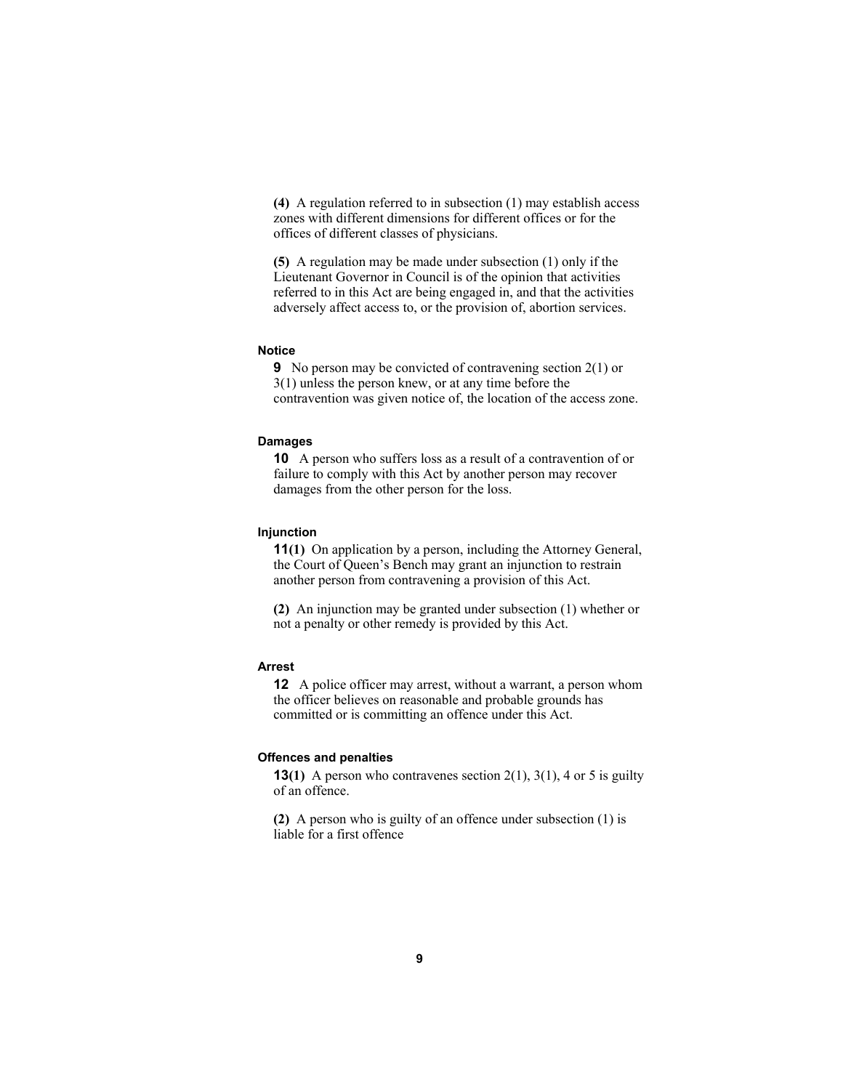**(4)** A regulation referred to in subsection (1) may establish access zones with different dimensions for different offices or for the offices of different classes of physicians.

**(5)** A regulation may be made under subsection (1) only if the Lieutenant Governor in Council is of the opinion that activities referred to in this Act are being engaged in, and that the activities adversely affect access to, or the provision of, abortion services.

#### **Notice**

**9** No person may be convicted of contravening section 2(1) or 3(1) unless the person knew, or at any time before the contravention was given notice of, the location of the access zone.

#### **Damages**

**10** A person who suffers loss as a result of a contravention of or failure to comply with this Act by another person may recover damages from the other person for the loss.

#### **Injunction**

**11(1)** On application by a person, including the Attorney General, the Court of Queen's Bench may grant an injunction to restrain another person from contravening a provision of this Act.

**(2)** An injunction may be granted under subsection (1) whether or not a penalty or other remedy is provided by this Act.

#### **Arrest**

**12** A police officer may arrest, without a warrant, a person whom the officer believes on reasonable and probable grounds has committed or is committing an offence under this Act.

#### **Offences and penalties**

**13(1)** A person who contravenes section 2(1), 3(1), 4 or 5 is guilty of an offence.

**(2)** A person who is guilty of an offence under subsection (1) is liable for a first offence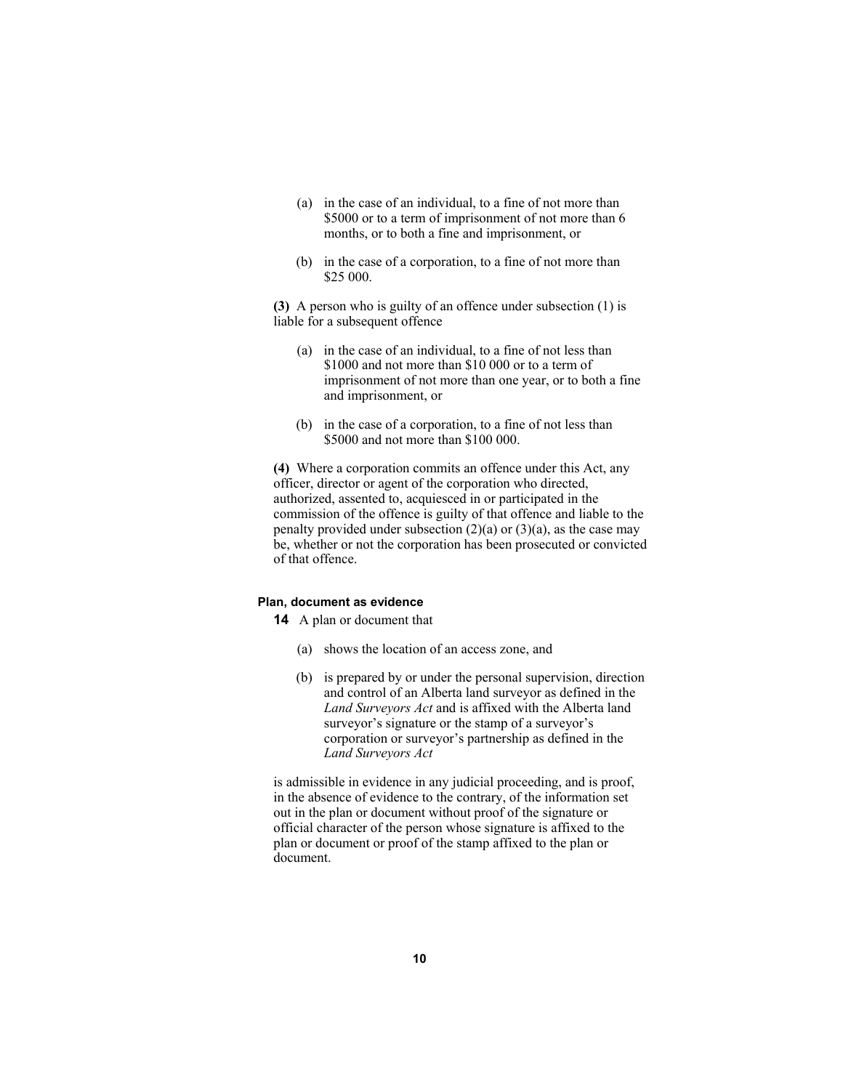- (a) in the case of an individual, to a fine of not more than \$5000 or to a term of imprisonment of not more than 6 months, or to both a fine and imprisonment, or
- (b) in the case of a corporation, to a fine of not more than \$25 000.

**(3)** A person who is guilty of an offence under subsection (1) is liable for a subsequent offence

- (a) in the case of an individual, to a fine of not less than \$1000 and not more than \$10 000 or to a term of imprisonment of not more than one year, or to both a fine and imprisonment, or
- (b) in the case of a corporation, to a fine of not less than \$5000 and not more than \$100 000.

**(4)** Where a corporation commits an offence under this Act, any officer, director or agent of the corporation who directed, authorized, assented to, acquiesced in or participated in the commission of the offence is guilty of that offence and liable to the penalty provided under subsection  $(2)(a)$  or  $(3)(a)$ , as the case may be, whether or not the corporation has been prosecuted or convicted of that offence.

#### **Plan, document as evidence**

**14** A plan or document that

- (a) shows the location of an access zone, and
- (b) is prepared by or under the personal supervision, direction and control of an Alberta land surveyor as defined in the *Land Surveyors Act* and is affixed with the Alberta land surveyor's signature or the stamp of a surveyor's corporation or surveyor's partnership as defined in the *Land Surveyors Act*

is admissible in evidence in any judicial proceeding, and is proof, in the absence of evidence to the contrary, of the information set out in the plan or document without proof of the signature or official character of the person whose signature is affixed to the plan or document or proof of the stamp affixed to the plan or document.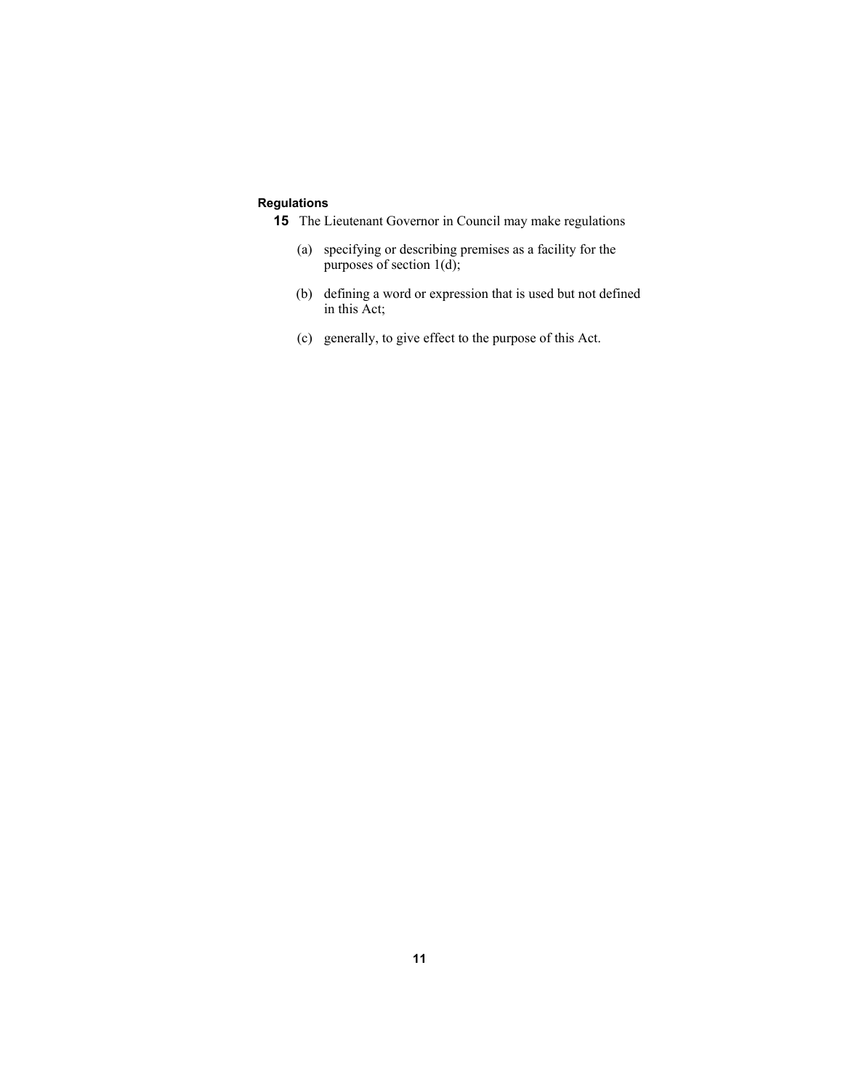## **Regulations**

- **15** The Lieutenant Governor in Council may make regulations
	- (a) specifying or describing premises as a facility for the purposes of section  $1(d)$ ;
	- (b) defining a word or expression that is used but not defined in this Act;
	- (c) generally, to give effect to the purpose of this Act.